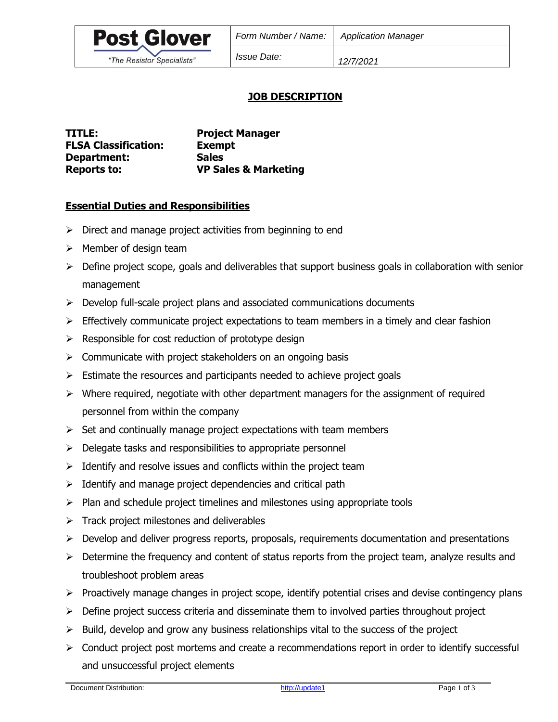

*Issue Date: 12/7/2021*

# **JOB DESCRIPTION**

| TITLE:                      | <b>Project Manager</b>          |
|-----------------------------|---------------------------------|
| <b>FLSA Classification:</b> | <b>Exempt</b>                   |
| Department:                 | <b>Sales</b>                    |
| <b>Reports to:</b>          | <b>VP Sales &amp; Marketing</b> |

### **Essential Duties and Responsibilities**

- ➢ Direct and manage project activities from beginning to end
- $\triangleright$  Member of design team
- ➢ Define project scope, goals and deliverables that support business goals in collaboration with senior management
- $\triangleright$  Develop full-scale project plans and associated communications documents
- ➢ Effectively communicate project expectations to team members in a timely and clear fashion
- ➢ Responsible for cost reduction of prototype design
- $\triangleright$  Communicate with project stakeholders on an ongoing basis
- $\triangleright$  Estimate the resources and participants needed to achieve project goals
- $\triangleright$  Where required, negotiate with other department managers for the assignment of required personnel from within the company
- $\triangleright$  Set and continually manage project expectations with team members
- $\triangleright$  Delegate tasks and responsibilities to appropriate personnel
- $\triangleright$  Identify and resolve issues and conflicts within the project team
- $\triangleright$  Identify and manage project dependencies and critical path
- $\triangleright$  Plan and schedule project timelines and milestones using appropriate tools
- $\triangleright$  Track project milestones and deliverables
- $\triangleright$  Develop and deliver progress reports, proposals, requirements documentation and presentations
- ➢ Determine the frequency and content of status reports from the project team, analyze results and troubleshoot problem areas
- $\triangleright$  Proactively manage changes in project scope, identify potential crises and devise contingency plans
- ➢ Define project success criteria and disseminate them to involved parties throughout project
- $\triangleright$  Build, develop and grow any business relationships vital to the success of the project
- ➢ Conduct project post mortems and create a recommendations report in order to identify successful and unsuccessful project elements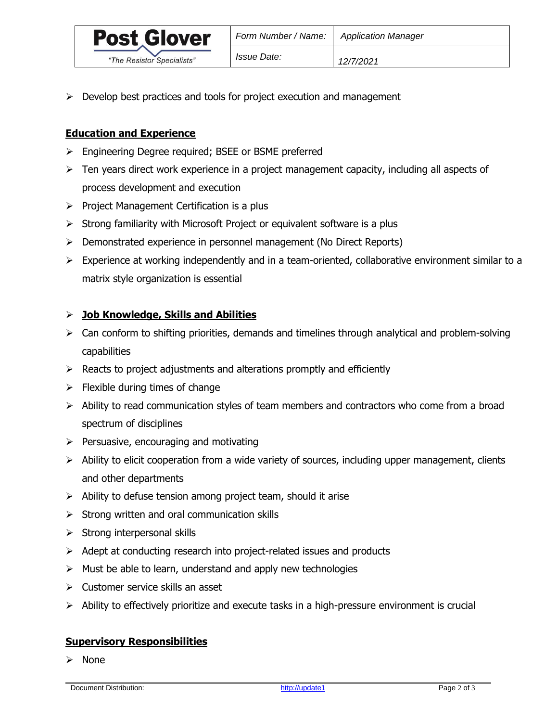

### **Education and Experience**

- ➢ Engineering Degree required; BSEE or BSME preferred
- ➢ Ten years direct work experience in a project management capacity, including all aspects of process development and execution
- ➢ Project Management Certification is a plus
- ➢ Strong familiarity with Microsoft Project or equivalent software is a plus
- ➢ Demonstrated experience in personnel management (No Direct Reports)
- $\triangleright$  Experience at working independently and in a team-oriented, collaborative environment similar to a matrix style organization is essential

### ➢ **Job Knowledge, Skills and Abilities**

- $\triangleright$  Can conform to shifting priorities, demands and timelines through analytical and problem-solving capabilities
- $\triangleright$  Reacts to project adjustments and alterations promptly and efficiently
- $\triangleright$  Flexible during times of change
- ➢ Ability to read communication styles of team members and contractors who come from a broad spectrum of disciplines
- $\triangleright$  Persuasive, encouraging and motivating
- ➢ Ability to elicit cooperation from a wide variety of sources, including upper management, clients and other departments
- ➢ Ability to defuse tension among project team, should it arise
- $\triangleright$  Strong written and oral communication skills
- ➢ Strong interpersonal skills
- ➢ Adept at conducting research into project-related issues and products
- $\triangleright$  Must be able to learn, understand and apply new technologies
- ➢ Customer service skills an asset
- ➢ Ability to effectively prioritize and execute tasks in a high-pressure environment is crucial

### **Supervisory Responsibilities**

➢ None